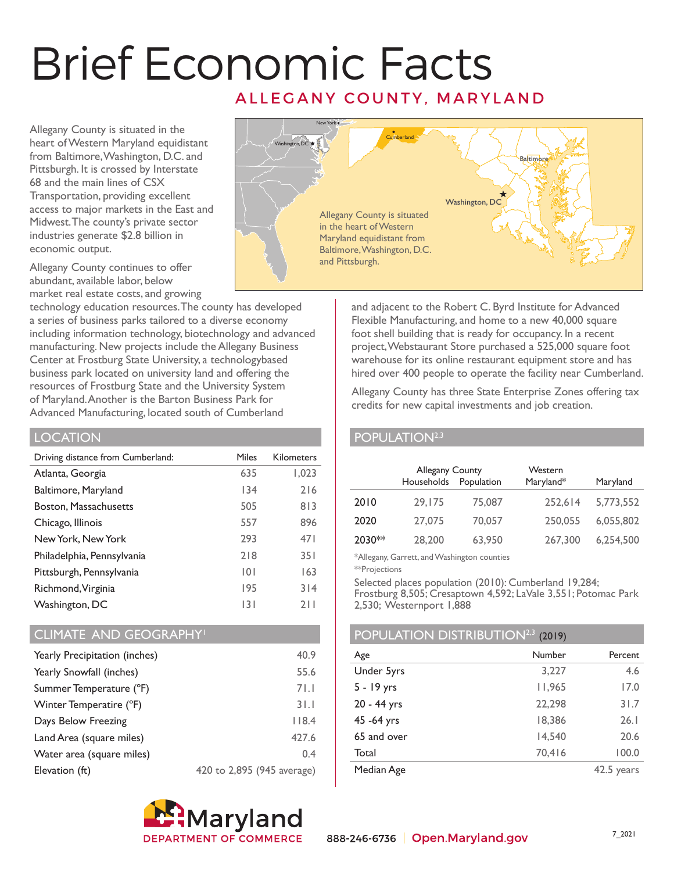# Brief Economic Facts ALLEGANY COUNTY, MARYLAND

Allegany County is situated in the heart of Western Maryland equidistant from Baltimore, Washington, D.C. and Pittsburgh. It is crossed by Interstate 68 and the main lines of CSX Transportation, providing excellent access to major markets in the East and Midwest. The county's private sector industries generate \$2.8 billion in economic output.

Allegany County continues to offer abundant, available labor, below market real estate costs, and growing

technology education resources. The county has developed a series of business parks tailored to a diverse economy including information technology, biotechnology and advanced manufacturing. New projects include the Allegany Business Center at Frostburg State University, a technologybased business park located on university land and offering the resources of Frostburg State and the University System of Maryland. Another is the Barton Business Park for Advanced Manufacturing, located south of Cumberland

## **LOCATION**

| Driving distance from Cumberland: | Miles | <b>Kilometers</b> |
|-----------------------------------|-------|-------------------|
| Atlanta, Georgia                  | 635   | 1,023             |
| Baltimore, Maryland               | 134   | 216               |
| Boston, Massachusetts             | 505   | 813               |
| Chicago, Illinois                 | 557   | 896               |
| New York, New York                | 293   | 471               |
| Philadelphia, Pennsylvania        | 218   | 351               |
| Pittsburgh, Pennsylvania          | 0     | 163               |
| Richmond, Virginia                | 195   | 314               |
| Washington, DC                    | 131   | 711               |

### CLIMATE AND GEOGRAPHY<sup>1</sup>

| Yearly Precipitation (inches) | 40.9                       |
|-------------------------------|----------------------------|
| Yearly Snowfall (inches)      | 55.6                       |
| Summer Temperature (°F)       | 71.1                       |
| Winter Temperatire (°F)       | 31.1                       |
| Days Below Freezing           | 118.4                      |
| Land Area (square miles)      | 427.6                      |
| Water area (square miles)     | 0.4                        |
| Elevation (ft)                | 420 to 2,895 (945 average) |





and adjacent to the Robert C. Byrd Institute for Advanced Flexible Manufacturing, and home to a new 40,000 square foot shell building that is ready for occupancy. In a recent project, Webstaurant Store purchased a 525,000 square foot warehouse for its online restaurant equipment store and has hired over 400 people to operate the facility near Cumberland.

Allegany County has three State Enterprise Zones offering tax credits for new capital investments and job creation.

## POPULATION<sup>2,3</sup>

|        | Allegany County<br>Households | Population | Western<br>Maryland* | Maryland  |
|--------|-------------------------------|------------|----------------------|-----------|
| 2010   | 29,175                        | 75,087     | 252.614              | 5,773,552 |
| 2020   | 27.075                        | 70,057     | 250,055              | 6,055,802 |
| 2030** | 28,200                        | 63,950     | 267,300              | 6,254,500 |

\*Allegany, Garrett, and Washington counties

\*\*Projections

Selected places population (2010): Cumberland 19,284; Frostburg 8,505; Cresaptown 4,592; LaVale 3,551; Potomac Park 2,530; Westernport 1,888

# POPULATION DISTRIBUTION<sup>2,3</sup> (2019)

| Age          | Number | Percent    |
|--------------|--------|------------|
| Under 5yrs   | 3,227  | 4.6        |
| $5 - 19$ yrs | 11,965 | 17.0       |
| 20 - 44 yrs  | 22,298 | 31.7       |
| 45 - 64 yrs  | 18,386 | 26.1       |
| 65 and over  | 14,540 | 20.6       |
| Total        | 70,416 | 100.0      |
| Median Age   |        | 42.5 years |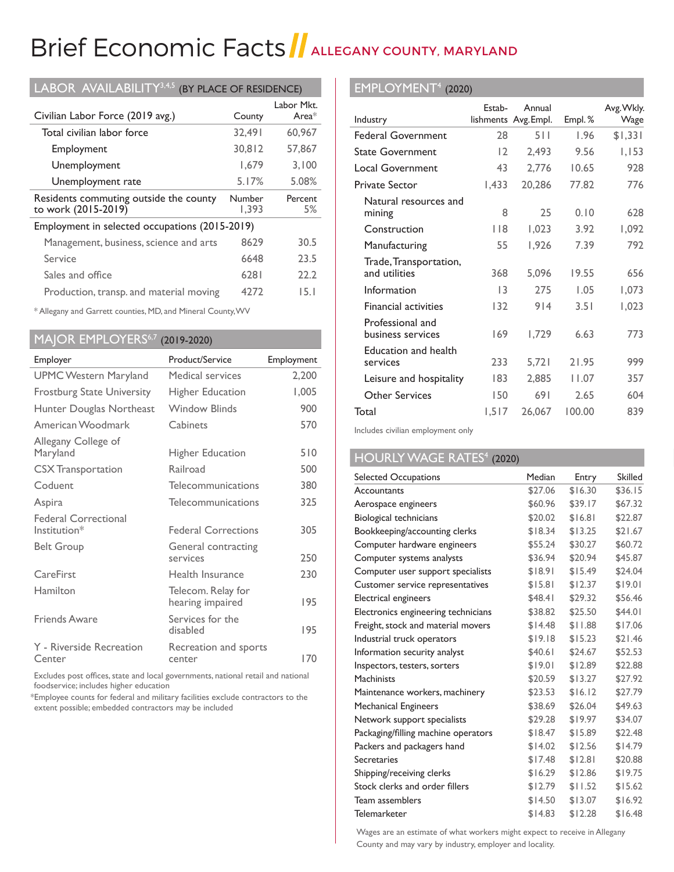# Brief Economic Facts | ALLEGANY COUNTY, MARYLAND

| LABOR AVAILABILITY <sup>3,4,5</sup><br>(BY PLACE OF RESIDENCE) |                 |                        |  |  |
|----------------------------------------------------------------|-----------------|------------------------|--|--|
| Civilian Labor Force (2019 avg.)                               | County          | Labor Mkt.<br>Area $*$ |  |  |
| Total civilian labor force                                     | 32,491          | 60,967                 |  |  |
| Employment                                                     | 30.812          | 57,867                 |  |  |
| Unemployment                                                   | 1,679           | 3,100                  |  |  |
| Unemployment rate                                              | 5.17%           | 5.08%                  |  |  |
| Residents commuting outside the county<br>to work (2015-2019)  | Number<br>1,393 | Percent<br>5%          |  |  |
| Employment in selected occupations (2015-2019)                 |                 |                        |  |  |
| Management, business, science and arts                         | 8629            | 30.5                   |  |  |
|                                                                |                 |                        |  |  |
| Service                                                        | 6648            | 23.5                   |  |  |
| Sales and office                                               | 6281            | 22.2                   |  |  |

\* Allegany and Garrett counties, MD, and Mineral County, WV

## MAJOR EMPLOYERS<sup>6,7</sup> (2019-2020)

| Employer                                    | Product/Service                        | Employment |
|---------------------------------------------|----------------------------------------|------------|
| <b>UPMC Western Maryland</b>                | Medical services                       | 2,200      |
| <b>Frostburg State University</b>           | <b>Higher Education</b>                | 1,005      |
| Hunter Douglas Northeast                    | <b>Window Blinds</b>                   | 900        |
| American Woodmark                           | Cabinets                               | 570        |
| Allegany College of<br>Maryland             | <b>Higher Education</b>                | 510        |
| <b>CSX</b> Transportation                   | Railroad                               | 500        |
| Coduent                                     | Telecommunications                     | 380        |
| Aspira                                      | Telecommunications                     | 325        |
| <b>Federal Correctional</b><br>Institution* | <b>Federal Corrections</b>             | 305        |
| <b>Belt Group</b>                           | General contracting<br>services        | 250        |
| CareFirst                                   | Health Insurance                       | 230        |
| Hamilton                                    | Telecom. Relay for<br>hearing impaired | 195        |
| <b>Friends Aware</b>                        | Services for the<br>disabled           | 195        |
| Y - Riverside Recreation<br>Center          | Recreation and sports<br>center        | 170        |

Excludes post offices, state and local governments, national retail and national foodservice; includes higher education

 \*Employee counts for federal and military facilities exclude contractors to the extent possible; embedded contractors may be included

### EMPLOYMENT4 (2020)

|                                         | Estab- | Annual               |        | Avg. Wkly. |
|-----------------------------------------|--------|----------------------|--------|------------|
| Industry                                |        | lishments Avg. Empl. | Empl.% | Wage       |
| <b>Federal Government</b>               | 28     | 511                  | 1.96   | \$1,331    |
| <b>State Government</b>                 | 12     | 2,493                | 9.56   | 1,153      |
| <b>Local Government</b>                 | 43     | 2,776                | 10.65  | 928        |
| <b>Private Sector</b>                   | 1,433  | 20,286               | 77.82  | 776        |
| Natural resources and<br>mining         | 8      | 25                   | 0.10   | 628        |
| Construction                            | 118    | 1,023                | 3.92   | 1,092      |
| Manufacturing                           | 55     | 1,926                | 7.39   | 792        |
| Trade, Transportation,<br>and utilities | 368    | 5,096                | 19.55  | 656        |
| Information                             | 13     | 275                  | 1.05   | 1,073      |
| <b>Financial activities</b>             | 132    | 914                  | 3.51   | 1,023      |
| Professional and<br>business services   | 169    | 1,729                | 6.63   | 773        |
| Education and health<br>services        | 233    | 5,721                | 21.95  | 999        |
| Leisure and hospitality                 | 183    | 2,885                | 11.07  | 357        |
| Other Services                          | 150    | 691                  | 2.65   | 604        |
| Total                                   | 1,517  | 26,067               | 100.00 | 839        |

Includes civilian employment only

## HOURLY WAGE RATES<sup>4</sup> (2020)

| Selected Occupations                | Median  | Entry   | <b>Skilled</b> |
|-------------------------------------|---------|---------|----------------|
| Accountants                         | \$27.06 | \$16.30 | \$36.15        |
| Aerospace engineers                 | \$60.96 | \$39.17 | \$67.32        |
| <b>Biological technicians</b>       | \$20.02 | \$16.81 | \$22.87        |
| Bookkeeping/accounting clerks       | \$18.34 | \$13.25 | \$21.67        |
| Computer hardware engineers         | \$55.24 | \$30.27 | \$60.72        |
| Computer systems analysts           | \$36.94 | \$20.94 | \$45.87        |
| Computer user support specialists   | \$18.91 | \$15.49 | \$24.04        |
| Customer service representatives    | \$15.81 | \$12.37 | \$19.01        |
| Electrical engineers                | \$48.41 | \$29.32 | \$56.46        |
| Electronics engineering technicians | \$38.82 | \$25.50 | \$44.01        |
| Freight, stock and material movers  | \$14.48 | \$11.88 | \$17.06        |
| Industrial truck operators          | \$19.18 | \$15.23 | \$21.46        |
| Information security analyst        | \$40.61 | \$24.67 | \$52.53        |
| Inspectors, testers, sorters        | \$19.01 | \$12.89 | \$22.88        |
| <b>Machinists</b>                   | \$20.59 | \$13.27 | \$27.92        |
| Maintenance workers, machinery      | \$23.53 | \$16.12 | \$27.79        |
| <b>Mechanical Engineers</b>         | \$38.69 | \$26.04 | \$49.63        |
| Network support specialists         | \$29.28 | \$19.97 | \$34.07        |
| Packaging/filling machine operators | \$18.47 | \$15.89 | \$22.48        |
| Packers and packagers hand          | \$14.02 | \$12.56 | \$14.79        |
| Secretaries                         | \$17.48 | \$12.81 | \$20.88        |
| Shipping/receiving clerks           | \$16.29 | \$12.86 | \$19.75        |
| Stock clerks and order fillers      | \$12.79 | \$11.52 | \$15.62        |
| Team assemblers                     | \$14.50 | \$13.07 | \$16.92        |
| <b>Telemarketer</b>                 | \$14.83 | \$12.28 | \$16.48        |

Wages are an estimate of what workers might expect to receive in Allegany County and may vary by industry, employer and locality.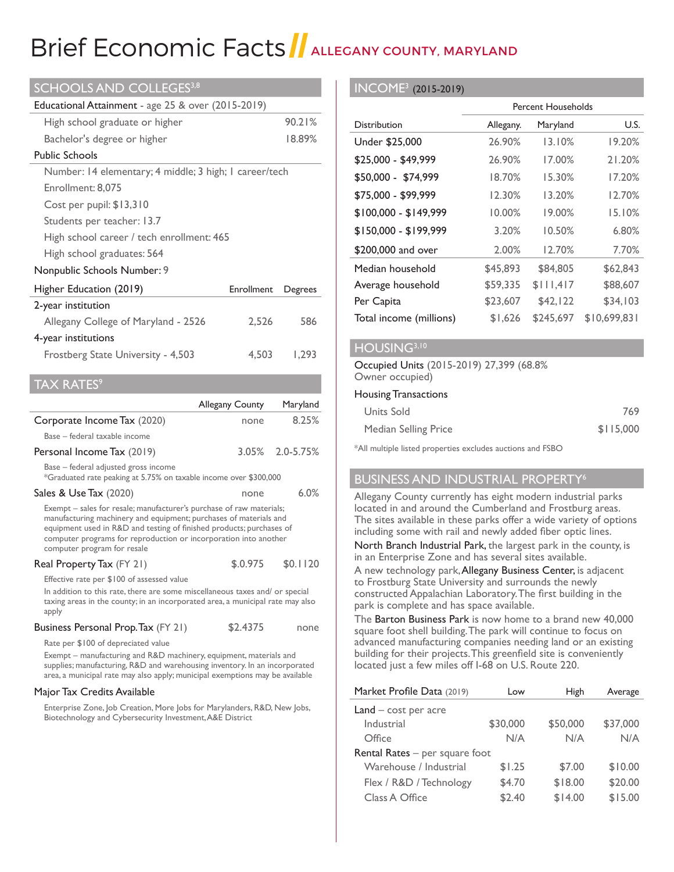# Brief Economic Facts ALLEGANY COUNTY, MARYLAND

| <b>SCHOOLS AND COLLEGES3,8</b>                         |            |         |  |
|--------------------------------------------------------|------------|---------|--|
| Educational Attainment - age 25 & over (2015-2019)     |            |         |  |
| High school graduate or higher                         |            | 90.21%  |  |
| Bachelor's degree or higher                            |            | 18.89%  |  |
| <b>Public Schools</b>                                  |            |         |  |
| Number: 14 elementary; 4 middle; 3 high; 1 career/tech |            |         |  |
| Enrollment: 8.075                                      |            |         |  |
| Cost per pupil: \$13,310                               |            |         |  |
| Students per teacher: 13.7                             |            |         |  |
| High school career / tech enrollment: 465              |            |         |  |
| High school graduates: 564                             |            |         |  |
| Nonpublic Schools Number: 9                            |            |         |  |
| Higher Education (2019)                                | Enrollment | Degrees |  |
| 2-year institution                                     |            |         |  |
| 586<br>Allegany College of Maryland - 2526<br>2,526    |            |         |  |
| 4-year institutions                                    |            |         |  |
|                                                        |            |         |  |

## $TAX RATES<sup>9</sup>$

|                                                                                                                                                                                                                                                                                                                      | <b>Allegany County</b> | Maryland        |
|----------------------------------------------------------------------------------------------------------------------------------------------------------------------------------------------------------------------------------------------------------------------------------------------------------------------|------------------------|-----------------|
| Corporate Income Tax (2020)                                                                                                                                                                                                                                                                                          | none                   | 8.25%           |
| Base – federal taxable income                                                                                                                                                                                                                                                                                        |                        |                 |
| Personal Income Tax (2019)                                                                                                                                                                                                                                                                                           |                        | 3.05% 2.0-5.75% |
| Base – federal adjusted gross income<br>*Graduated rate peaking at 5.75% on taxable income over \$300,000                                                                                                                                                                                                            |                        |                 |
| Sales & Use Tax (2020)                                                                                                                                                                                                                                                                                               | none                   | 6.0%            |
| Exempt – sales for resale; manufacturer's purchase of raw materials;<br>manufacturing machinery and equipment; purchases of materials and<br>equipment used in R&D and testing of finished products; purchases of<br>computer programs for reproduction or incorporation into another<br>computer program for resale |                        |                 |
| Real Property Tax (FY 21)                                                                                                                                                                                                                                                                                            | \$.0.975               | \$0.1120        |
| Effective rate per \$100 of assessed value<br>In addition to this rate, there are some miscellaneous taxes and/ or special<br>taxing areas in the county; in an incorporated area, a municipal rate may also<br>apply                                                                                                |                        |                 |

#### Business Personal Prop. Tax (FY 21) \$2.4375 none

Rate per \$100 of depreciated value

 Exempt – manufacturing and R&D machinery, equipment, materials and supplies; manufacturing, R&D and warehousing inventory. In an incorporated area, a municipal rate may also apply; municipal exemptions may be available

#### Major Tax Credits Available

 Enterprise Zone, Job Creation, More Jobs for Marylanders, R&D, New Jobs, Biotechnology and Cybersecurity Investment, A&E District

#### INCOME3 (2015-2019)

|                         | <b>Percent Households</b> |           |              |  |
|-------------------------|---------------------------|-----------|--------------|--|
| <b>Distribution</b>     | Allegany.                 | Maryland  | U.S.         |  |
| Under \$25,000          | 26.90%                    | 13.10%    | 19.20%       |  |
| \$25,000 - \$49,999     | 26.90%                    | 17.00%    | 21.20%       |  |
| \$50,000 - \$74,999     | 18.70%                    | 15.30%    | 17.20%       |  |
| \$75,000 - \$99,999     | 12.30%                    | 13.20%    | 12.70%       |  |
| $$100,000 - $149,999$   | 10.00%                    | 19.00%    | 15.10%       |  |
| $$150,000 - $199,999$   | 3.20%                     | 10.50%    | 6.80%        |  |
| \$200,000 and over      | 2.00%                     | 12.70%    | 7.70%        |  |
| Median household        | \$45,893                  | \$84,805  | \$62,843     |  |
| Average household       | \$59,335                  | \$111,417 | \$88,607     |  |
| Per Capita              | \$23,607                  | \$42,122  | \$34,103     |  |
| Total income (millions) | \$1,626                   | \$245,697 | \$10,699,831 |  |

#### HOUSING<sup>3,10</sup>

#### Occupied Units (2015-2019) 27,399 (68.8% Owner occupied)

#### Housing Transactions

| Units Sold           | 769       |
|----------------------|-----------|
| Median Selling Price | \$115,000 |

\*All multiple listed properties excludes auctions and FSBO

#### BUSINESS AND INDUSTRIAL PROPERTY6

Allegany County currently has eight modern industrial parks located in and around the Cumberland and Frostburg areas. The sites available in these parks offer a wide variety of options including some with rail and newly added fiber optic lines.

North Branch Industrial Park, the largest park in the county, is in an Enterprise Zone and has several sites available.

A new technology park, Allegany Business Center, is adjacent to Frostburg State University and surrounds the newly constructed Appalachian Laboratory.The first building in the park is complete and has space available.

The Barton Business Park is now home to a brand new 40,000 square foot shell building. The park will continue to focus on advanced manufacturing companies needing land or an existing building for their projects.This greenfield site is conveniently located just a few miles off I-68 on U.S. Route 220.

| Market Profile Data (2019)       | Low      | High     | Average  |
|----------------------------------|----------|----------|----------|
| $Land - cost per acre$           |          |          |          |
| Industrial                       | \$30,000 | \$50,000 | \$37,000 |
| Office                           | N/A      | N/A      | N/A      |
| Rental Rates $-$ per square foot |          |          |          |
| Warehouse / Industrial           | \$1.25   | \$7.00   | \$10.00  |
| Flex / R&D / Technology          | \$4.70   | \$18.00  | \$20.00  |
| Class A Office                   | \$2.40   | \$14.00  | \$15.00  |